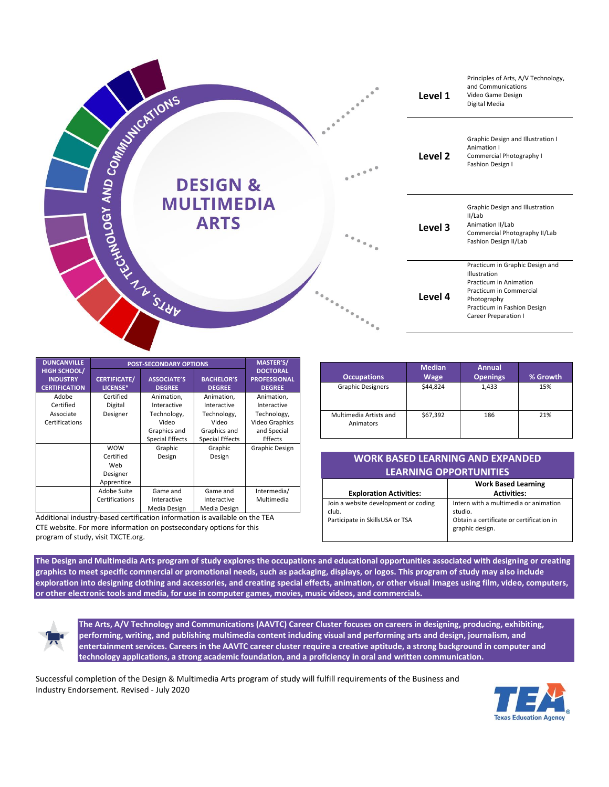

| <b>DUNCANVILLE</b>                                             | <b>POST-SECONDARY OPTIONS</b>   |                                     |                                    | <b>MASTER'S/</b>                                        |
|----------------------------------------------------------------|---------------------------------|-------------------------------------|------------------------------------|---------------------------------------------------------|
| <b>HIGH SCHOOL/</b><br><b>INDUSTRY</b><br><b>CERTIFICATION</b> | <b>CERTIFICATE/</b><br>LICENSE* | <b>ASSOCIATE'S</b><br><b>DEGREE</b> | <b>BACHELOR'S</b><br><b>DEGREE</b> | <b>DOCTORAL</b><br><b>PROFESSIONAL</b><br><b>DEGREE</b> |
| Adobe                                                          | Certified                       | Animation,                          | Animation.                         | Animation.                                              |
| Certified                                                      | Digital                         | Interactive                         | Interactive                        | Interactive                                             |
| Associate                                                      | Designer                        | Technology,                         | Technology,                        | Technology,                                             |
| Certifications                                                 |                                 | Video                               | Video                              | <b>Video Graphics</b>                                   |
|                                                                |                                 | Graphics and                        | Graphics and                       | and Special                                             |
|                                                                |                                 | <b>Special Effects</b>              | <b>Special Effects</b>             | Effects                                                 |
|                                                                | <b>WOW</b>                      | Graphic                             | Graphic                            | <b>Graphic Design</b>                                   |
|                                                                | Certified                       | Design                              | Design                             |                                                         |
|                                                                | Web                             |                                     |                                    |                                                         |
|                                                                | Designer                        |                                     |                                    |                                                         |
|                                                                | Apprentice                      |                                     |                                    |                                                         |
|                                                                | Adobe Suite                     | Game and                            | Game and                           | Intermedia/                                             |
|                                                                | Certifications                  | Interactive                         | Interactive                        | Multimedia                                              |
|                                                                |                                 | Media Design                        | Media Design                       |                                                         |

Additional industry-based certification information is available on the TEA CTE website. For more information on postsecondary options for this program of study, visit TXCTE.org.

| <b>Occupations</b>                  | <b>Median</b><br><b>Wage</b> | <b>Annual</b><br><b>Openings</b> | % Growth |
|-------------------------------------|------------------------------|----------------------------------|----------|
| <b>Graphic Designers</b>            | \$44.824                     | 1,433                            | 15%      |
| Multimedia Artists and<br>Animators | \$67,392                     | 186                              | 21%      |

## **WORK BASED LEARNING AND EXPANDED LEARNING OPPORTUNITIES**

|                                                                                  | <b>Work Based Learning</b>                                                                                      |
|----------------------------------------------------------------------------------|-----------------------------------------------------------------------------------------------------------------|
| <b>Exploration Activities:</b>                                                   | <b>Activities:</b>                                                                                              |
| Join a website development or coding<br>club.<br>Participate in SkillsUSA or TSA | Intern with a multimedia or animation<br>studio.<br>Obtain a certificate or certification in<br>graphic design. |

**The Design and Multimedia Arts program of study explores the occupations and educational opportunities associated with designing or creating graphics to meet specific commercial or promotional needs, such as packaging, displays, or logos. This program of study may also include exploration into designing clothing and accessories, and creating special effects, animation, or other visual images using film, video, computers, or other electronic tools and media, for use in computer games, movies, music videos, and commercials.**

**The Arts, A/V Technology and Communications (AAVTC) Career Cluster focuses on careers in designing, producing, exhibiting, performing, writing, and publishing multimedia content including visual and performing arts and design, journalism, and entertainment services. Careers in the AAVTC career cluster require a creative aptitude, a strong background in computer and technology applications, a strong academic foundation, and a proficiency in oral and written communication.**

Successful completion of the Design & Multimedia Arts program of study will fulfill requirements of the Business and Industry Endorsement. Revised - July 2020

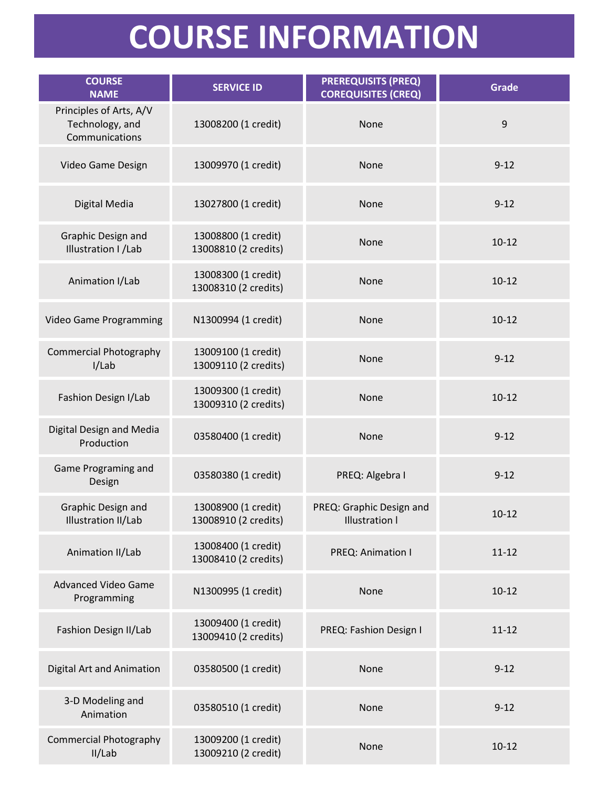## **COURSE INFORMATION**

| <b>COURSE</b><br><b>NAME</b>                                 | <b>SERVICE ID</b>                           | <b>PREREQUISITS (PREQ)</b><br><b>COREQUISITES (CREQ)</b> | <b>Grade</b> |
|--------------------------------------------------------------|---------------------------------------------|----------------------------------------------------------|--------------|
| Principles of Arts, A/V<br>Technology, and<br>Communications | 13008200 (1 credit)                         | None                                                     | 9            |
| Video Game Design                                            | 13009970 (1 credit)                         | None                                                     | $9 - 12$     |
| Digital Media                                                | 13027800 (1 credit)                         | None                                                     | $9 - 12$     |
| Graphic Design and<br>Illustration I / Lab                   | 13008800 (1 credit)<br>13008810 (2 credits) | None                                                     | $10 - 12$    |
| Animation I/Lab                                              | 13008300 (1 credit)<br>13008310 (2 credits) | None                                                     | $10 - 12$    |
| <b>Video Game Programming</b>                                | N1300994 (1 credit)                         | None                                                     | $10 - 12$    |
| <b>Commercial Photography</b><br>I/Lab                       | 13009100 (1 credit)<br>13009110 (2 credits) | None                                                     | $9 - 12$     |
| Fashion Design I/Lab                                         | 13009300 (1 credit)<br>13009310 (2 credits) | None                                                     | $10 - 12$    |
| Digital Design and Media<br>Production                       | 03580400 (1 credit)                         | None                                                     | $9 - 12$     |
| Game Programing and<br>Design                                | 03580380 (1 credit)                         | PREQ: Algebra I                                          | $9 - 12$     |
| Graphic Design and<br>Illustration II/Lab                    | 13008900 (1 credit)<br>13008910 (2 credits) | PREQ: Graphic Design and<br><b>Illustration I</b>        | $10 - 12$    |
| Animation II/Lab                                             | 13008400 (1 credit)<br>13008410 (2 credits) | PREQ: Animation I                                        | $11 - 12$    |
| <b>Advanced Video Game</b><br>Programming                    | N1300995 (1 credit)                         | None                                                     | $10 - 12$    |
| Fashion Design II/Lab                                        | 13009400 (1 credit)<br>13009410 (2 credits) | PREQ: Fashion Design I                                   | $11 - 12$    |
| <b>Digital Art and Animation</b>                             | 03580500 (1 credit)                         | None                                                     | $9 - 12$     |
| 3-D Modeling and<br>Animation                                | 03580510 (1 credit)                         | None                                                     | $9 - 12$     |
| <b>Commercial Photography</b><br>II/Lab                      | 13009200 (1 credit)<br>13009210 (2 credit)  | None                                                     | $10 - 12$    |